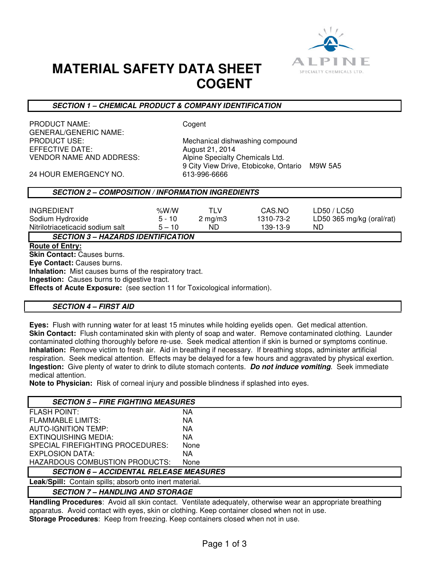

## **MATERIAL SAFETY DATA SHEET COGENT**

## **SECTION 1 – CHEMICAL PRODUCT & COMPANY IDENTIFICATION**

PRODUCT NAME: Cogent GENERAL/GENERIC NAME:<br>PRODUCT USE: EFFECTIVE DATE: August 21, 2014 VENDOR NAME AND ADDRESS: Alpine Specialty Chemicals Ltd.

Mechanical dishwashing compound 9 City View Drive, Etobicoke, Ontario M9W 5A5

24 HOUR EMERGENCY NO. 613-996-6666

## **SECTION 2 – COMPOSITION / INFORMATION INGREDIENTS**

| <b>INGREDIENT</b>                         | % $W/N$  | TI V             | CAS.NO    | LD50 / LC50               |  |
|-------------------------------------------|----------|------------------|-----------|---------------------------|--|
| Sodium Hydroxide                          | $5 - 10$ | $2 \text{ mg/m}$ | 1310-73-2 | LD50 365 mg/kg (oral/rat) |  |
| Nitrilotriaceticacid sodium salt          | $5 - 10$ | ND               | 139-13-9  | ND                        |  |
| <b>SECTION 3 – HAZARDS IDENTIFICATION</b> |          |                  |           |                           |  |

#### **Route of Entry:**

**Skin Contact:** Causes burns. **Eye Contact:** Causes burns. **Inhalation:** Mist causes burns of the respiratory tract. **Ingestion:** Causes burns to digestive tract. **Effects of Acute Exposure:** (see section 11 for Toxicological information).

## **SECTION 4 – FIRST AID**

**Eyes:** Flush with running water for at least 15 minutes while holding eyelids open. Get medical attention. **Skin Contact:** Flush contaminated skin with plenty of soap and water. Remove contaminated clothing. Launder contaminated clothing thoroughly before re-use. Seek medical attention if skin is burned or symptoms continue. **Inhalation:** Remove victim to fresh air. Aid in breathing if necessary. If breathing stops, administer artificial respiration. Seek medical attention. Effects may be delayed for a few hours and aggravated by physical exertion. **Ingestion:** Give plenty of water to drink to dilute stomach contents. **Do not induce vomiting**. Seek immediate medical attention.

**Note to Physician:** Risk of corneal injury and possible blindness if splashed into eyes.

| <b>SECTION 5 – FIRE FIGHTING MEASURES</b>                      |      |  |  |
|----------------------------------------------------------------|------|--|--|
| <b>FLASH POINT:</b>                                            | NA   |  |  |
| <b>FLAMMABLE LIMITS:</b>                                       | ΝA   |  |  |
| <b>AUTO-IGNITION TEMP:</b>                                     | NA   |  |  |
| EXTINQUISHING MEDIA:                                           | NA   |  |  |
| SPECIAL FIREFIGHTING PROCEDURES:                               | None |  |  |
| EXPLOSION DATA:                                                | NA.  |  |  |
| HAZARDOUS COMBUSTION PRODUCTS:                                 | None |  |  |
| <b>SECTION 6 - ACCIDENTAL RELEASE MEASURES</b>                 |      |  |  |
| <b>Leak/Spill:</b> Contain spills; absorb onto inert material. |      |  |  |
| <b>SECTION 7 – HANDLING AND STORAGE</b>                        |      |  |  |

**Handling Procedures**: Avoid all skin contact. Ventilate adequately, otherwise wear an appropriate breathing apparatus. Avoid contact with eyes, skin or clothing. Keep container closed when not in use. **Storage Procedures**: Keep from freezing. Keep containers closed when not in use.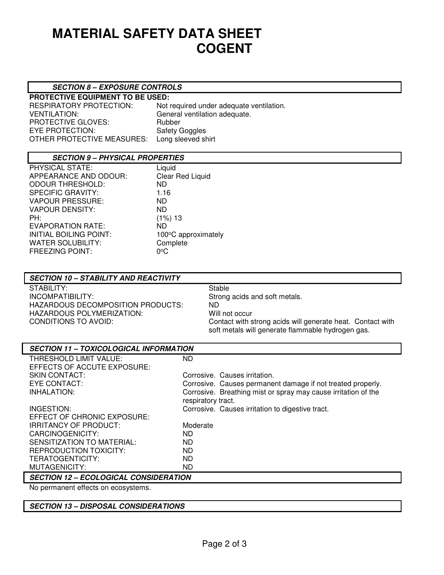# **MATERIAL SAFETY DATA SHEET COGENT**

## **SECTION 8 – EXPOSURE CONTROLS**

**PROTECTIVE EQUIPMENT TO BE USED:**  PROTECTIVE GLOVES: EYE PROTECTION: Safety Goggles OTHER PROTECTIVE MEASURES: Long sleeved shirt

RESPIRATORY PROTECTION: Not required under adequate ventilation.<br>VENTILATION: General ventilation adequate. General ventilation adequate.<br>Rubber

## **SECTION 9 – PHYSICAL PROPERTIES**

| PHYSICAL STATE:               | Liquid              |
|-------------------------------|---------------------|
| APPEARANCE AND ODOUR:         | Clear Red Liquid    |
| <b>ODOUR THRESHOLD:</b>       | ND.                 |
| <b>SPECIFIC GRAVITY:</b>      | 1.16                |
| <b>VAPOUR PRESSURE:</b>       | ND.                 |
| <b>VAPOUR DENSITY:</b>        | <b>ND</b>           |
| PH:                           | (1%) 13             |
| EVAPORATION RATE:             | ND                  |
| <b>INITIAL BOILING POINT:</b> | 100°C approximately |
| <b>WATER SOLUBILITY:</b>      | Complete            |
| <b>FREEZING POINT:</b>        | ∩∘C                 |

| <b>SECTION 10 - STABILITY AND REACTIVITY</b> |                                                                                                                 |
|----------------------------------------------|-----------------------------------------------------------------------------------------------------------------|
| STABILITY:                                   | Stable                                                                                                          |
| INCOMPATIBILITY:                             | Strong acids and soft metals.                                                                                   |
| HAZARDOUS DECOMPOSITION PRODUCTS:            | ND.                                                                                                             |
| HAZARDOUS POLYMERIZATION:                    | Will not occur                                                                                                  |
| CONDITIONS TO AVOID:                         | Contact with strong acids will generate heat. Contact with<br>soft metals will generate flammable hydrogen gas. |

| <b>SECTION 11 - TOXICOLOGICAL INFORMATION</b> |                                                                |  |  |  |
|-----------------------------------------------|----------------------------------------------------------------|--|--|--|
| THRESHOLD LIMIT VALUE:                        | ND.                                                            |  |  |  |
| EFFECTS OF ACCUTE EXPOSURE:                   |                                                                |  |  |  |
| <b>SKIN CONTACT:</b>                          | Corrosive. Causes irritation.                                  |  |  |  |
| EYE CONTACT:                                  | Corrosive. Causes permanent damage if not treated properly.    |  |  |  |
| INHALATION:                                   | Corrosive. Breathing mist or spray may cause irritation of the |  |  |  |
|                                               | respiratory tract.                                             |  |  |  |
| INGESTION:                                    | Corrosive. Causes irritation to digestive tract.               |  |  |  |
| EFFECT OF CHRONIC EXPOSURE:                   |                                                                |  |  |  |
| <b>IRRITANCY OF PRODUCT:</b>                  | Moderate                                                       |  |  |  |
| CARCINOGENICITY:                              | ND.                                                            |  |  |  |
| SENSITIZATION TO MATERIAL:                    | ND.                                                            |  |  |  |
| REPRODUCTION TOXICITY:                        | <b>ND</b>                                                      |  |  |  |
| TERATOGENTICITY:                              | <b>ND</b>                                                      |  |  |  |
| MUTAGENICITY:                                 | <b>ND</b>                                                      |  |  |  |
| <b>SECTION 12 - ECOLOGICAL CONSIDERATION</b>  |                                                                |  |  |  |
| No permanent effects on ecosystems.           |                                                                |  |  |  |

**SECTION 13 – DISPOSAL CONSIDERATIONS**